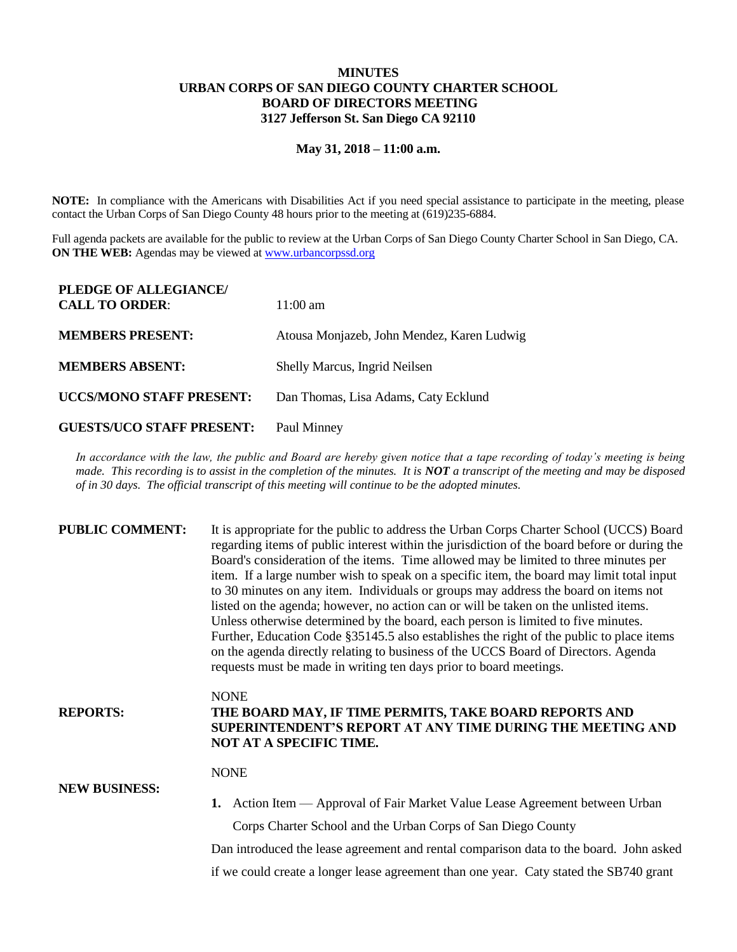## **MINUTES URBAN CORPS OF SAN DIEGO COUNTY CHARTER SCHOOL BOARD OF DIRECTORS MEETING 3127 Jefferson St. San Diego CA 92110**

## **May 31, 2018 – 11:00 a.m.**

**NOTE:** In compliance with the Americans with Disabilities Act if you need special assistance to participate in the meeting, please contact the Urban Corps of San Diego County 48 hours prior to the meeting at (619)235-6884.

Full agenda packets are available for the public to review at the Urban Corps of San Diego County Charter School in San Diego, CA. **ON THE WEB:** Agendas may be viewed at [www.urbancorpssd.org](http://www.urbancorpssd.org/)

| PLEDGE OF ALLEGIANCE/<br><b>CALL TO ORDER:</b> | $11:00 \text{ am}$                         |
|------------------------------------------------|--------------------------------------------|
| <b>MEMBERS PRESENT:</b>                        | Atousa Monjazeb, John Mendez, Karen Ludwig |
| <b>MEMBERS ABSENT:</b>                         | Shelly Marcus, Ingrid Neilsen              |
| <b>UCCS/MONO STAFF PRESENT:</b>                | Dan Thomas, Lisa Adams, Caty Ecklund       |
| <b>GUESTS/UCO STAFF PRESENT:</b>               | Paul Minney                                |

*In accordance with the law, the public and Board are hereby given notice that a tape recording of today's meeting is being made. This recording is to assist in the completion of the minutes. It is NOT a transcript of the meeting and may be disposed of in 30 days. The official transcript of this meeting will continue to be the adopted minutes.*

| <b>PUBLIC COMMENT:</b> | It is appropriate for the public to address the Urban Corps Charter School (UCCS) Board<br>regarding items of public interest within the jurisdiction of the board before or during the<br>Board's consideration of the items. Time allowed may be limited to three minutes per<br>item. If a large number wish to speak on a specific item, the board may limit total input<br>to 30 minutes on any item. Individuals or groups may address the board on items not<br>listed on the agenda; however, no action can or will be taken on the unlisted items.<br>Unless otherwise determined by the board, each person is limited to five minutes.<br>Further, Education Code §35145.5 also establishes the right of the public to place items<br>on the agenda directly relating to business of the UCCS Board of Directors. Agenda<br>requests must be made in writing ten days prior to board meetings. |
|------------------------|----------------------------------------------------------------------------------------------------------------------------------------------------------------------------------------------------------------------------------------------------------------------------------------------------------------------------------------------------------------------------------------------------------------------------------------------------------------------------------------------------------------------------------------------------------------------------------------------------------------------------------------------------------------------------------------------------------------------------------------------------------------------------------------------------------------------------------------------------------------------------------------------------------|
| <b>REPORTS:</b>        | <b>NONE</b><br>THE BOARD MAY, IF TIME PERMITS, TAKE BOARD REPORTS AND<br>SUPERINTENDENT'S REPORT AT ANY TIME DURING THE MEETING AND<br>NOT AT A SPECIFIC TIME.                                                                                                                                                                                                                                                                                                                                                                                                                                                                                                                                                                                                                                                                                                                                           |
| <b>NEW BUSINESS:</b>   | <b>NONE</b><br><b>1.</b> Action Item — Approval of Fair Market Value Lease Agreement between Urban                                                                                                                                                                                                                                                                                                                                                                                                                                                                                                                                                                                                                                                                                                                                                                                                       |
|                        | Corps Charter School and the Urban Corps of San Diego County<br>Dan introduced the lease agreement and rental comparison data to the board. John asked                                                                                                                                                                                                                                                                                                                                                                                                                                                                                                                                                                                                                                                                                                                                                   |

if we could create a longer lease agreement than one year. Caty stated the SB740 grant